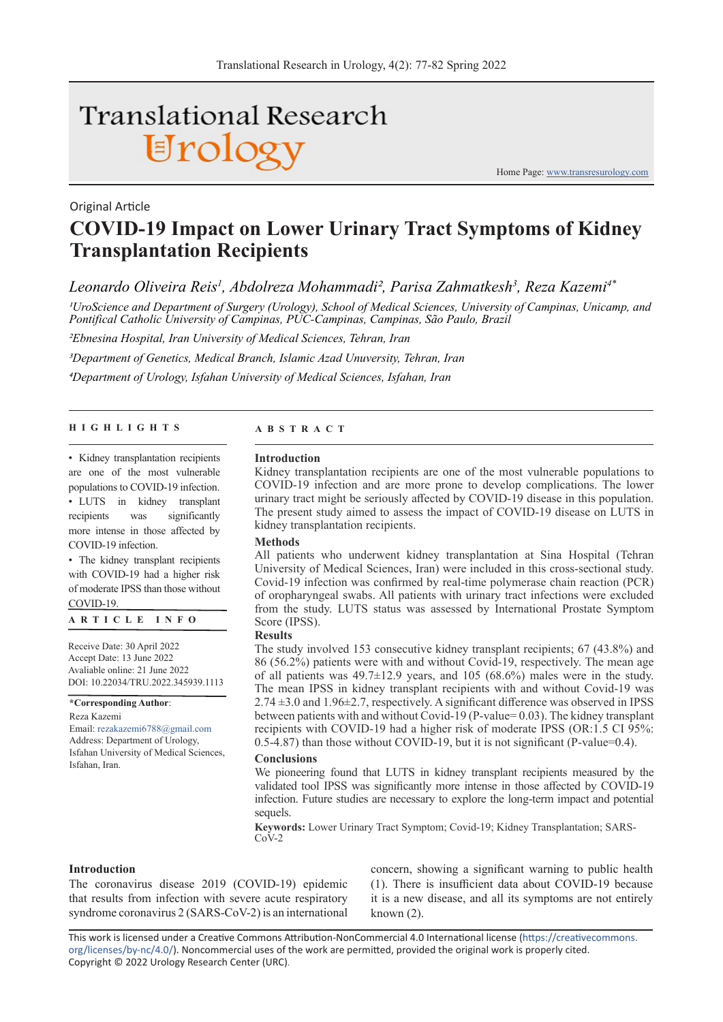# Translational Research Urology

Home Page: www.transresurology.com

## **COVID-19 Impact on Lower Urinary Tract Symptoms of Kidney Transplantation Recipients**

*Leonardo Oliveira Reis1 , Abdolreza Mohammadi2, Parisa Zahmatkesh3 , Reza Kazemi4\**

*1UroScience and Department of Surgery (Urology), School of Medical Sciences, University of Campinas, Unicamp, and Pontifical Catholic University of Campinas, PUC-Campinas, Campinas, São Paulo, Brazil*

*2Ebnesina Hospital, Iran University of Medical Sciences, Tehran, Iran*

*3Department of Genetics, Medical Branch, Islamic Azad Unuversity, Tehran, Iran 4Department of Urology, Isfahan University of Medical Sciences, Isfahan, Iran*

#### **HIGHLIGHTS ABSTRACT**

Original Article

• Kidney transplantation recipients are one of the most vulnerable populations to COVID-19 infection. • LUTS in kidney transplant recipients was significantly more intense in those affected by COVID-19 infection.

• The kidney transplant recipients with COVID-19 had a higher risk of moderate IPSS than those without COVID-19.

#### **ARTICLE INFO**

Receive Date: 30 April 2022 Accept Date: 13 June 2022 Avaliable online: 21 June 2022 DOI: 10.22034/TRU.2022.345939.1113

**\*Corresponding Author**: Reza Kazemi

Email: rezakazemi6788@gmail.com Address: Department of Urology, Isfahan University of Medical Sciences, Isfahan, Iran.

#### **Introduction**

Kidney transplantation recipients are one of the most vulnerable populations to COVID-19 infection and are more prone to develop complications. The lower urinary tract might be seriously affected by COVID-19 disease in this population. The present study aimed to assess the impact of COVID-19 disease on LUTS in kidney transplantation recipients.

#### **Methods**

All patients who underwent kidney transplantation at Sina Hospital (Tehran University of Medical Sciences, Iran) were included in this cross-sectional study. Covid-19 infection was confirmed by real-time polymerase chain reaction (PCR) of oropharyngeal swabs. All patients with urinary tract infections were excluded from the study. LUTS status was assessed by International Prostate Symptom Score (IPSS).

#### **Results**

The study involved 153 consecutive kidney transplant recipients; 67 (43.8%) and 86 (56.2%) patients were with and without Covid-19, respectively. The mean age of all patients was 49.7±12.9 years, and 105 (68.6%) males were in the study. The mean IPSS in kidney transplant recipients with and without Covid-19 was  $2.74 \pm 3.0$  and  $1.96 \pm 2.7$ , respectively. A significant difference was observed in IPSS between patients with and without Covid-19 (P-value= 0.03). The kidney transplant recipients with COVID-19 had a higher risk of moderate IPSS (OR:1.5 CI 95%: 0.5-4.87) than those without COVID-19, but it is not significant (P-value=0.4).

#### **Conclusions**

We pioneering found that LUTS in kidney transplant recipients measured by the validated tool IPSS was significantly more intense in those affected by COVID-19 infection. Future studies are necessary to explore the long-term impact and potential sequels.

**Keywords:** Lower Urinary Tract Symptom; Covid-19; Kidney Transplantation; SARS- $Co\check{V}$ -2

#### **Introduction**

The coronavirus disease 2019 (COVID-19) epidemic that results from infection with severe acute respiratory syndrome coronavirus 2 (SARS-CoV-2) is an international

concern, showing a significant warning to public health (1). There is insufficient data about COVID-19 because it is a new disease, and all its symptoms are not entirely known (2).

This work is licensed under a Creative Commons Attribution-NonCommercial 4.0 International license (https://creativecommons. org/licenses/by-nc/4.0/). Noncommercial uses of the work are permitted, provided the original work is properly cited. Copyright © 2022 Urology Research Center (URC).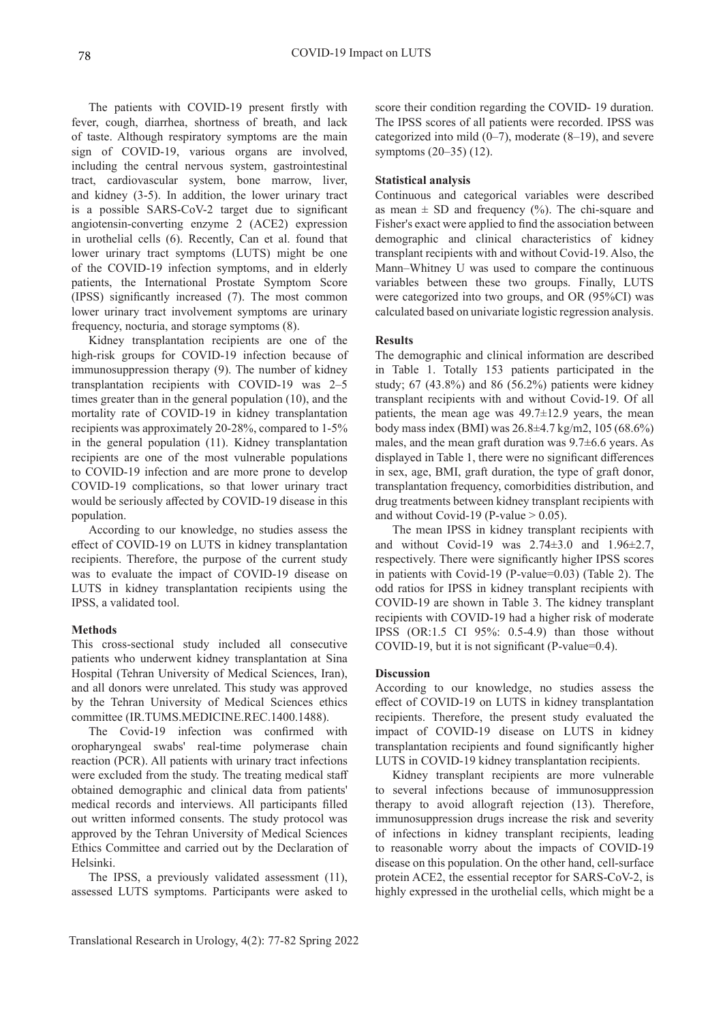The patients with COVID-19 present firstly with fever, cough, diarrhea, shortness of breath, and lack of taste. Although respiratory symptoms are the main sign of COVID-19, various organs are involved, including the central nervous system, gastrointestinal tract, cardiovascular system, bone marrow, liver, and kidney (3-5). In addition, the lower urinary tract is a possible SARS-CoV-2 target due to significant angiotensin-converting enzyme 2 (ACE2) expression in urothelial cells (6). Recently, Can et al. found that lower urinary tract symptoms (LUTS) might be one of the COVID-19 infection symptoms, and in elderly patients, the International Prostate Symptom Score (IPSS) significantly increased (7). The most common lower urinary tract involvement symptoms are urinary frequency, nocturia, and storage symptoms (8).

Kidney transplantation recipients are one of the high-risk groups for COVID-19 infection because of immunosuppression therapy (9). The number of kidney transplantation recipients with COVID-19 was 2–5 times greater than in the general population (10), and the mortality rate of COVID-19 in kidney transplantation recipients was approximately 20-28%, compared to 1-5% in the general population (11). Kidney transplantation recipients are one of the most vulnerable populations to COVID-19 infection and are more prone to develop COVID-19 complications, so that lower urinary tract would be seriously affected by COVID-19 disease in this population.

According to our knowledge, no studies assess the effect of COVID-19 on LUTS in kidney transplantation recipients. Therefore, the purpose of the current study was to evaluate the impact of COVID-19 disease on LUTS in kidney transplantation recipients using the IPSS, a validated tool.

#### **Methods**

This cross-sectional study included all consecutive patients who underwent kidney transplantation at Sina Hospital (Tehran University of Medical Sciences, Iran), and all donors were unrelated. This study was approved by the Tehran University of Medical Sciences ethics committee (IR.TUMS.MEDICINE.REC.1400.1488).

The Covid-19 infection was confirmed with oropharyngeal swabs' real-time polymerase chain reaction (PCR). All patients with urinary tract infections were excluded from the study. The treating medical staff obtained demographic and clinical data from patients' medical records and interviews. All participants filled out written informed consents. The study protocol was approved by the Tehran University of Medical Sciences Ethics Committee and carried out by the Declaration of Helsinki.

The IPSS, a previously validated assessment (11), assessed LUTS symptoms. Participants were asked to

score their condition regarding the COVID- 19 duration. The IPSS scores of all patients were recorded. IPSS was categorized into mild  $(0-7)$ , moderate  $(8-19)$ , and severe symptoms (20–35) (12).

### **Statistical analysis**

Continuous and categorical variables were described as mean  $\pm$  SD and frequency (%). The chi-square and Fisher's exact were applied to find the association between demographic and clinical characteristics of kidney transplant recipients with and without Covid-19. Also, the Mann–Whitney U was used to compare the continuous variables between these two groups. Finally, LUTS were categorized into two groups, and OR (95%CI) was calculated based on univariate logistic regression analysis.

### **Results**

The demographic and clinical information are described in Table 1. Totally 153 patients participated in the study; 67 (43.8%) and 86 (56.2%) patients were kidney transplant recipients with and without Covid-19. Of all patients, the mean age was 49.7±12.9 years, the mean body mass index (BMI) was 26.8±4.7 kg/m2, 105 (68.6%) males, and the mean graft duration was 9.7±6.6 years. As displayed in Table 1, there were no significant differences in sex, age, BMI, graft duration, the type of graft donor, transplantation frequency, comorbidities distribution, and drug treatments between kidney transplant recipients with and without Covid-19 (P-value  $> 0.05$ ).

The mean IPSS in kidney transplant recipients with and without Covid-19 was 2.74±3.0 and 1.96±2.7, respectively. There were significantly higher IPSS scores in patients with Covid-19 (P-value=0.03) (Table 2). The odd ratios for IPSS in kidney transplant recipients with COVID-19 are shown in Table 3. The kidney transplant recipients with COVID-19 had a higher risk of moderate IPSS (OR:1.5 CI 95%: 0.5-4.9) than those without COVID-19, but it is not significant (P-value=0.4).

#### **Discussion**

According to our knowledge, no studies assess the effect of COVID-19 on LUTS in kidney transplantation recipients. Therefore, the present study evaluated the impact of COVID-19 disease on LUTS in kidney transplantation recipients and found significantly higher LUTS in COVID-19 kidney transplantation recipients.

Kidney transplant recipients are more vulnerable to several infections because of immunosuppression therapy to avoid allograft rejection (13). Therefore, immunosuppression drugs increase the risk and severity of infections in kidney transplant recipients, leading to reasonable worry about the impacts of COVID-19 disease on this population. On the other hand, cell-surface protein ACE2, the essential receptor for SARS-CoV-2, is highly expressed in the urothelial cells, which might be a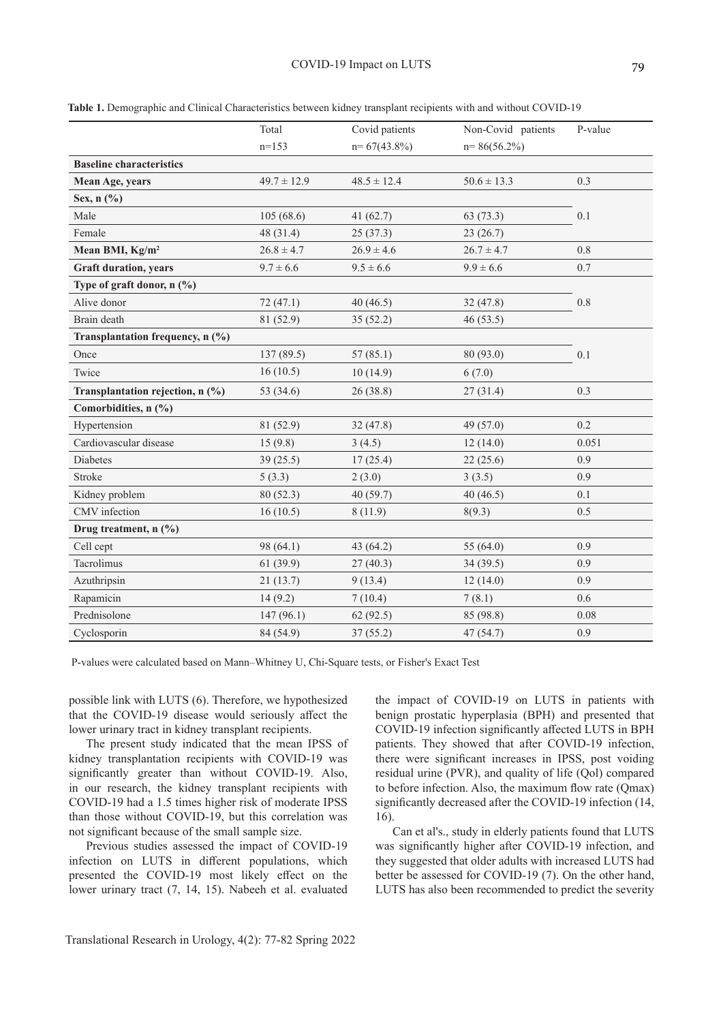|                                  | Total           | Covid patients  | Non-Covid patients | P-value  |
|----------------------------------|-----------------|-----------------|--------------------|----------|
|                                  | $n=153$         | $n=67(43.8\%)$  | $n = 86(56.2\%)$   |          |
| <b>Baseline characteristics</b>  |                 |                 |                    |          |
| Mean Age, years                  | $49.7 \pm 12.9$ | $48.5 \pm 12.4$ | $50.6 \pm 13.3$    | 0.3      |
| Sex, $n$ (%)                     |                 |                 |                    |          |
| Male                             | 105(68.6)       | 41 $(62.7)$     | 63(73.3)           | 0.1      |
| Female                           | 48 (31.4)       | 25(37.3)        | 23(26.7)           |          |
| Mean BMI, Kg/m <sup>2</sup>      | $26.8 \pm 4.7$  | $26.9 \pm 4.6$  | $26.7 \pm 4.7$     | 0.8      |
| <b>Graft duration, years</b>     | $9.7 \pm 6.6$   | $9.5 \pm 6.6$   | $9.9 \pm 6.6$      | 0.7      |
| Type of graft donor, $n$ (%)     |                 |                 |                    |          |
| Alive donor                      | 72 (47.1)       | 40(46.5)        | 32(47.8)           | 0.8      |
| Brain death                      | 81 (52.9)       | 35(52.2)        | 46(53.5)           |          |
| Transplantation frequency, n (%) |                 |                 |                    |          |
| Once                             | 137 (89.5)      | 57(85.1)        | 80 (93.0)          | 0.1      |
| Twice                            | 16(10.5)        | 10(14.9)        | 6(7.0)             |          |
| Transplantation rejection, n (%) | 53 (34.6)       | 26 (38.8)       | 27(31.4)           | 0.3      |
| Comorbidities, n (%)             |                 |                 |                    |          |
| Hypertension                     | 81 (52.9)       | 32 (47.8)       | 49 (57.0)          | 0.2      |
| Cardiovascular disease           | 15(9.8)         | 3(4.5)          | 12(14.0)           | 0.051    |
| <b>Diabetes</b>                  | 39(25.5)        | 17(25.4)        | 22(25.6)           | 0.9      |
| Stroke                           | 5(3.3)          | 2(3.0)          | 3(3.5)             | 0.9      |
| Kidney problem                   | 80(52.3)        | 40(59.7)        | 40(46.5)           | 0.1      |
| CMV infection                    | 16(10.5)        | 8(11.9)         | 8(9.3)             | 0.5      |
| Drug treatment, $n$ (%)          |                 |                 |                    |          |
| Cell cept                        | 98 (64.1)       | 43 (64.2)       | 55 (64.0)          | 0.9      |
| Tacrolimus                       | 61(39.9)        | 27(40.3)        | 34(39.5)           | 0.9      |
| Azuthripsin                      | 21(13.7)        | 9(13.4)         | 12(14.0)           | 0.9      |
| Rapamicin                        | 14(9.2)         | 7(10.4)         | 7(8.1)             | 0.6      |
| Prednisolone                     | 147(96.1)       | 62(92.5)        | 85 (98.8)          | $0.08\,$ |
| Cyclosporin                      | 84 (54.9)       | 37(55.2)        | 47 (54.7)          | 0.9      |

**Table 1.** Demographic and Clinical Characteristics between kidney transplant recipients with and without COVID-19

P-values were calculated based on Mann–Whitney U, Chi-Square tests, or Fisher's Exact Test

possible link with LUTS (6). Therefore, we hypothesized that the COVID-19 disease would seriously affect the lower urinary tract in kidney transplant recipients.

The present study indicated that the mean IPSS of kidney transplantation recipients with COVID-19 was significantly greater than without COVID-19. Also, in our research, the kidney transplant recipients with COVID-19 had a 1.5 times higher risk of moderate IPSS than those without COVID-19, but this correlation was not significant because of the small sample size.

Previous studies assessed the impact of COVID-19 infection on LUTS in different populations, which presented the COVID-19 most likely effect on the lower urinary tract (7, 14, 15). Nabeeh et al. evaluated

the impact of COVID-19 on LUTS in patients with benign prostatic hyperplasia (BPH) and presented that COVID-19 infection significantly affected LUTS in BPH patients. They showed that after COVID-19 infection, there were significant increases in IPSS, post voiding residual urine (PVR), and quality of life (Qol) compared to before infection. Also, the maximum flow rate (Qmax) significantly decreased after the COVID-19 infection (14, 16).

Can et al's., study in elderly patients found that LUTS was significantly higher after COVID-19 infection, and they suggested that older adults with increased LUTS had better be assessed for COVID-19 (7). On the other hand, LUTS has also been recommended to predict the severity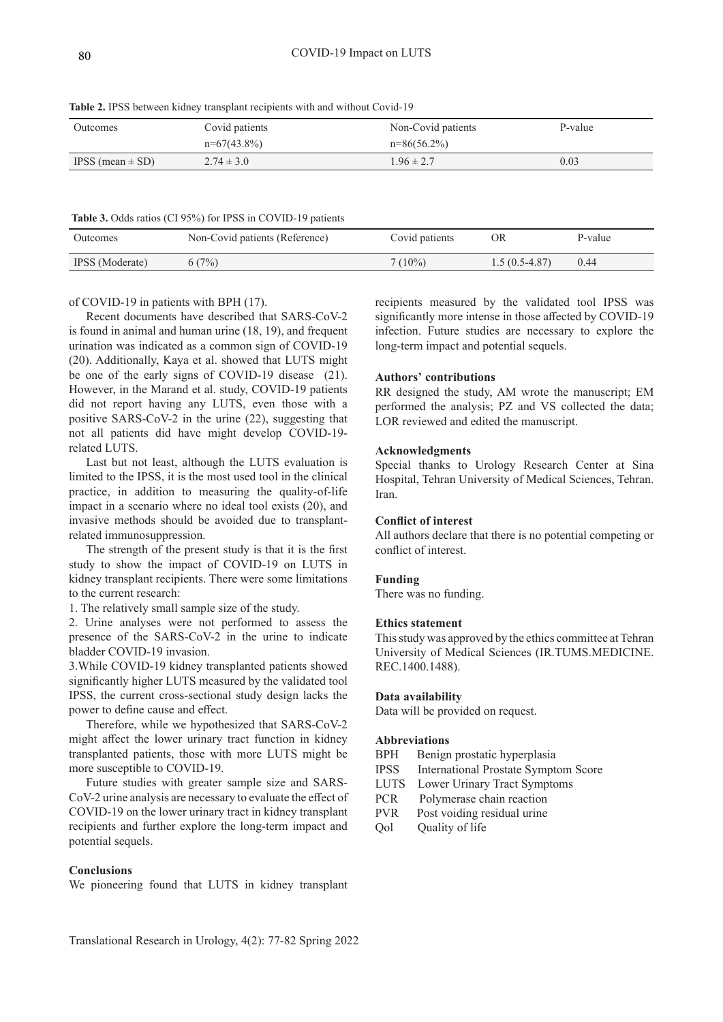**Table 2.** IPSS between kidney transplant recipients with and without Covid-19

| <b>Outcomes</b>      | Covid patients | Non-Covid patients | P-value |
|----------------------|----------------|--------------------|---------|
|                      | $n=67(43.8\%)$ | $n=86(56.2\%)$     |         |
| IPSS (mean $\pm$ SD) | $2.74 \pm 3.0$ | $1.96 \pm 2.7$     | 0.03    |

#### **Table 3.** Odds ratios (CI 95%) for IPSS in COVID-19 patients

| Outcomes               | Non-Covid patients (Reference) | Covid patients | OR              | P-value |
|------------------------|--------------------------------|----------------|-----------------|---------|
| <b>IPSS</b> (Moderate) | 6(7%)                          | $7(10\%)$      | $1.5(0.5-4.87)$ | 0.44    |

#### of COVID-19 in patients with BPH (17).

Recent documents have described that SARS-CoV-2 is found in animal and human urine (18, 19), and frequent urination was indicated as a common sign of COVID-19 (20). Additionally, Kaya et al. showed that LUTS might be one of the early signs of COVID-19 disease (21). However, in the Marand et al. study, COVID-19 patients did not report having any LUTS, even those with a positive SARS-CoV-2 in the urine (22), suggesting that not all patients did have might develop COVID-19 related LUTS.

Last but not least, although the LUTS evaluation is limited to the IPSS, it is the most used tool in the clinical practice, in addition to measuring the quality-of-life impact in a scenario where no ideal tool exists (20), and invasive methods should be avoided due to transplantrelated immunosuppression.

The strength of the present study is that it is the first study to show the impact of COVID-19 on LUTS in kidney transplant recipients. There were some limitations to the current research:

1. The relatively small sample size of the study.

2. Urine analyses were not performed to assess the presence of the SARS-CoV-2 in the urine to indicate bladder COVID-19 invasion.

3.While COVID-19 kidney transplanted patients showed significantly higher LUTS measured by the validated tool IPSS, the current cross-sectional study design lacks the power to define cause and effect.

Therefore, while we hypothesized that SARS-CoV-2 might affect the lower urinary tract function in kidney transplanted patients, those with more LUTS might be more susceptible to COVID-19.

Future studies with greater sample size and SARS-CoV-2 urine analysis are necessary to evaluate the effect of COVID-19 on the lower urinary tract in kidney transplant recipients and further explore the long-term impact and potential sequels.

#### **Conclusions**

We pioneering found that LUTS in kidney transplant

recipients measured by the validated tool IPSS was significantly more intense in those affected by COVID-19 infection. Future studies are necessary to explore the long-term impact and potential sequels.

#### **Authors' contributions**

RR designed the study, AM wrote the manuscript; EM performed the analysis; PZ and VS collected the data; LOR reviewed and edited the manuscript.

#### **Acknowledgments**

Special thanks to Urology Research Center at Sina Hospital, Tehran University of Medical Sciences, Tehran. Iran.

#### **Conflict of interest**

All authors declare that there is no potential competing or conflict of interest.

#### **Funding**

There was no funding.

#### **Ethics statement**

This study was approved by the ethics committee at Tehran University of Medical Sciences (IR.TUMS.MEDICINE. REC.1400.1488).

#### **Data availability**

Data will be provided on request.

#### **Abbreviations**

- BPH Benign prostatic hyperplasia
- IPSS International Prostate Symptom Score
- LUTS Lower Urinary Tract Symptoms
- PCR Polymerase chain reaction
- PVR Post voiding residual urine
- Qol Quality of life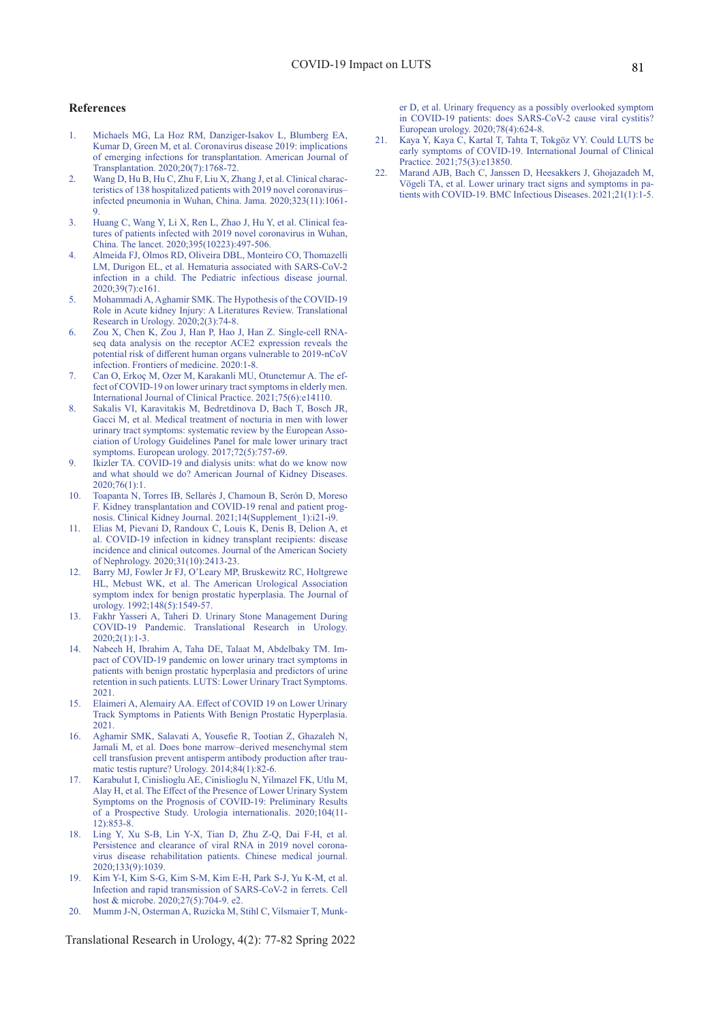#### **References**

- 1. Michaels MG, La Hoz RM, Danziger-Isakov L, Blumberg EA, Kumar D, Green M, et al. Coronavirus disease 2019: implications of emerging infections for transplantation. American Journal of Transplantation. 2020;20(7):1768-72.
- 2. Wang D, Hu B, Hu C, Zhu F, Liu X, Zhang J, et al. Clinical characteristics of 138 hospitalized patients with 2019 novel coronavirus– infected pneumonia in Wuhan, China. Jama. 2020;323(11):1061- 9.
- 3. Huang C, Wang Y, Li X, Ren L, Zhao J, Hu Y, et al. Clinical features of patients infected with 2019 novel coronavirus in Wuhan, China. The lancet. 2020;395(10223):497-506.
- 4. Almeida FJ, Olmos RD, Oliveira DBL, Monteiro CO, Thomazelli LM, Durigon EL, et al. Hematuria associated with SARS-CoV-2 infection in a child. The Pediatric infectious disease journal. 2020;39(7):e161.
- 5. Mohammadi A, Aghamir SMK. The Hypothesis of the COVID-19 Role in Acute kidney Injury: A Literatures Review. Translational Research in Urology. 2020;2(3):74-8.
- 6. Zou X, Chen K, Zou J, Han P, Hao J, Han Z. Single-cell RNAseq data analysis on the receptor ACE2 expression reveals the potential risk of different human organs vulnerable to 2019-nCoV infection. Frontiers of medicine. 2020:1-8.
- 7. Can O, Erkoç M, Ozer M, Karakanli MU, Otunctemur A. The effect of COVID-19 on lower urinary tract symptoms in elderly men. International Journal of Clinical Practice. 2021;75(6):e14110.
- 8. Sakalis VI, Karavitakis M, Bedretdinova D, Bach T, Bosch JR, Gacci M, et al. Medical treatment of nocturia in men with lower urinary tract symptoms: systematic review by the European Association of Urology Guidelines Panel for male lower urinary tract symptoms. European urology. 2017;72(5):757-69.
- 9. Ikizler TA. COVID-19 and dialysis units: what do we know now and what should we do? American Journal of Kidney Diseases. 2020;76(1):1.
- 10. Toapanta N, Torres IB, Sellarés J, Chamoun B, Serón D, Moreso F. Kidney transplantation and COVID-19 renal and patient prognosis. Clinical Kidney Journal. 2021;14(Supplement\_1):i21-i9.
- 11. Elias M, Pievani D, Randoux C, Louis K, Denis B, Delion A, et al. COVID-19 infection in kidney transplant recipients: disease incidence and clinical outcomes. Journal of the American Society of Nephrology. 2020;31(10):2413-23.
- 12. Barry MJ, Fowler Jr FJ, O'Leary MP, Bruskewitz RC, Holtgrewe HL, Mebust WK, et al. The American Urological Association symptom index for benign prostatic hyperplasia. The Journal of urology. 1992;148(5):1549-57.
- 13. Fakhr Yasseri A, Taheri D. Urinary Stone Management During COVID-19 Pandemic. Translational Research in Urology.  $2020:2(1):1-3.$
- 14. Nabeeh H, Ibrahim A, Taha DE, Talaat M, Abdelbaky TM. Impact of COVID‐19 pandemic on lower urinary tract symptoms in patients with benign prostatic hyperplasia and predictors of urine retention in such patients. LUTS: Lower Urinary Tract Symptoms. 2021.
- 15. Elaimeri A, Alemairy AA. Effect of COVID 19 on Lower Urinary Track Symptoms in Patients With Benign Prostatic Hyperplasia. 2021.
- 16. Aghamir SMK, Salavati A, Yousefie R, Tootian Z, Ghazaleh N, Jamali M, et al. Does bone marrow–derived mesenchymal stem cell transfusion prevent antisperm antibody production after traumatic testis rupture? Urology. 2014;84(1):82-6.
- 17. Karabulut I, Cinislioglu AE, Cinislioglu N, Yilmazel FK, Utlu M, Alay H, et al. The Effect of the Presence of Lower Urinary System Symptoms on the Prognosis of COVID-19: Preliminary Results of a Prospective Study. Urologia internationalis. 2020;104(11- 12):853-8.
- 18. Ling Y, Xu S-B, Lin Y-X, Tian D, Zhu Z-Q, Dai F-H, et al. Persistence and clearance of viral RNA in 2019 novel coronavirus disease rehabilitation patients. Chinese medical journal. 2020;133(9):1039.
- 19. Kim Y-I, Kim S-G, Kim S-M, Kim E-H, Park S-J, Yu K-M, et al. Infection and rapid transmission of SARS-CoV-2 in ferrets. Cell host & microbe. 2020;27(5):704-9. e2.
- 20. Mumm J-N, Osterman A, Ruzicka M, Stihl C, Vilsmaier T, Munk-

Translational Research in Urology, 4(2): 77-82 Spring 2022

er D, et al. Urinary frequency as a possibly overlooked symptom in COVID-19 patients: does SARS-CoV-2 cause viral cystitis? European urology. 2020;78(4):624-8.

- 21. Kaya Y, Kaya C, Kartal T, Tahta T, Tokgöz VY. Could LUTS be early symptoms of COVID‐19. International Journal of Clinical Practice. 2021;75(3):e13850.
- 22. Marand AJB, Bach C, Janssen D, Heesakkers J, Ghojazadeh M, Vögeli TA, et al. Lower urinary tract signs and symptoms in patients with COVID-19. BMC Infectious Diseases. 2021;21(1):1-5.